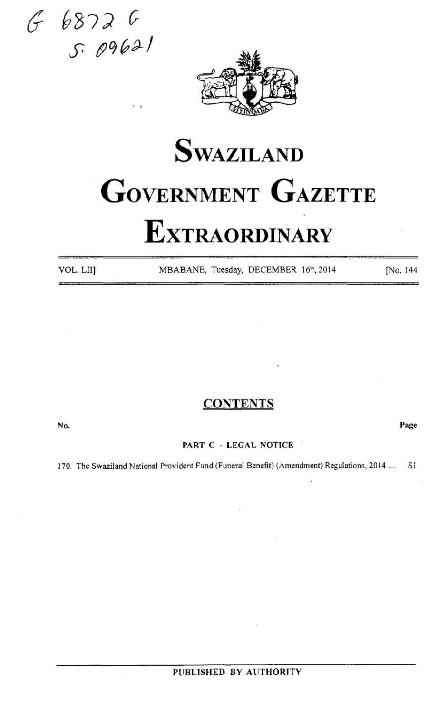



# **SWAZILAND** GOVERNMENT GAZETTE 6872 G<br>
S 0962/<br>
SWAZILAND<br>
GOVERNMENT GAZETTE<br>
EXTRAORDINARY **EXTRAORDINARY**  $68726$ <br>  $5.09621$ <br>
SWAZILAND<br>
GOVERNMENT GAZETTE<br>
EXTRAORDINARY<br>
VOLLIT MBABANE, TUESday, DECEMBER 10°,2014 NO.144 6 8 7 2 6<br>
5.  $\theta$ 96 4 1<br>
5. **SWAZILAND**<br> **SWAZILAND**<br> **GOVERNMENT GAZETTE**<br> **EXTRAORDINARY**<br>
VOLLET MARAANE, TURSKY, DECEMBER 189, 2014 POL.14<br>
VOLLET LEGALANDES<br>
NO. 14<br>
170. The Swaniland National Providers Fund (Fusur

VOL. LII]

MBABANE, Tuesday, DECEMBER 16<sup>th</sup>, 2014 [No. 144

# **CONTENTS**

No. Page

PART C - LEGAL NOTICE

170. The Swaziland National Provident Fund (Funeral Benefit) (Amendment) Regulations, 2014... SI